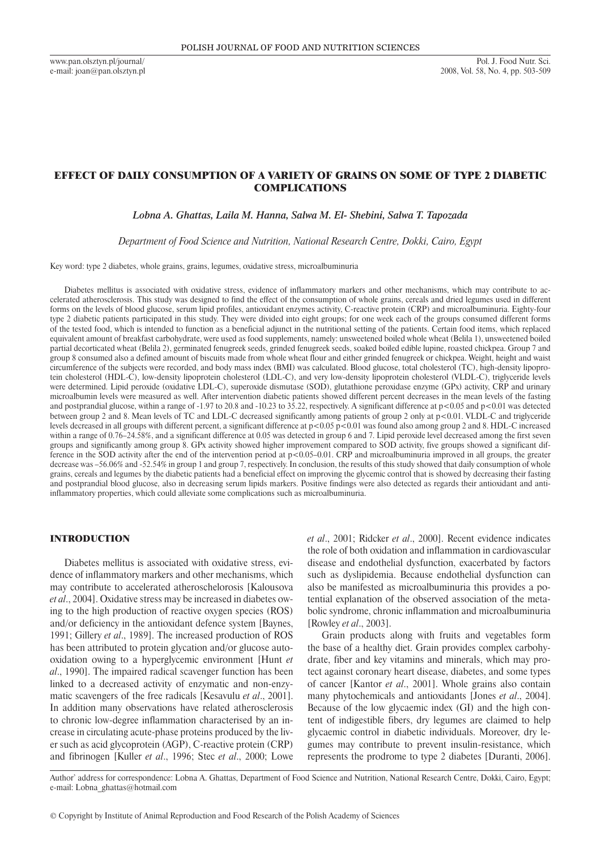www.pan.olsztyn.pl/journal/ e-mail: joan@pan.olsztyn.pl

# Effect of daily consumption of a variety of grains on some of type 2 diabetic complications

## *Lobna A. Ghattas, Laila M. Hanna, Salwa M. El- Shebini, Salwa T. Tapozada*

*Department of Food Science and Nutrition, National Research Centre, Dokki, Cairo, Egypt*

Key word: type 2 diabetes, whole grains, grains, legumes, oxidative stress, microalbuminuria

Diabetes mellitus is associated with oxidative stress, evidence of inflammatory markers and other mechanisms, which may contribute to accelerated atherosclerosis. This study was designed to find the effect of the consumption of whole grains, cereals and dried legumes used in different forms on the levels of blood glucose, serum lipid profiles, antioxidant enzymes activity, C-reactive protein (CRP) and microalbuminuria. Eighty-four type 2 diabetic patients participated in this study. They were divided into eight groups; for one week each of the groups consumed different forms of the tested food, which is intended to function as a beneficial adjunct in the nutritional setting of the patients. Certain food items, which replaced equivalent amount of breakfast carbohydrate, were used as food supplements, namely: unsweetened boiled whole wheat (Belila 1), unsweetened boiled partial decorticated wheat (Belila 2), germinated fenugreek seeds, grinded fenugreek seeds, soaked boiled edible lupine, roasted chickpea. Group 7 and group 8 consumed also a defined amount of biscuits made from whole wheat flour and either grinded fenugreek or chickpea. Weight, height and waist circumference of the subjects were recorded, and body mass index (BMI) was calculated. Blood glucose, total cholesterol (TC), high-density lipoprotein cholesterol (HDL-C), low-density lipoprotein cholesterol (LDL-C), and very low-density lipoprotein cholesterol (VLDL-C), triglyceride levels were determined. Lipid peroxide (oxidative LDL-C), superoxide dismutase (SOD), glutathione peroxidase enzyme (GPx) activity, CRP and urinary microalbumin levels were measured as well. After intervention diabetic patients showed different percent decreases in the mean levels of the fasting and postprandial glucose, within a range of -1.97 to 20.8 and -10.23 to 35.22, respectively. A significant difference at  $p$  <0.05 and  $p$  <0.01 was detected between group 2 and 8. Mean levels of TC and LDL-C decreased significantly among patients of group 2 only at p<0.01. VLDL-C and triglyceride levels decreased in all groups with different percent, a significant difference at p<0.05 p<0.01 was found also among group 2 and 8. HDL-C increased within a range of 0.76–24.58%, and a significant difference at 0.05 was detected in group 6 and 7. Lipid peroxide level decreased among the first seven groups and significantly among group 8. GPx activity showed higher improvement compared to SOD activity, five groups showed a significant difference in the SOD activity after the end of the intervention period at p<0.05–0.01. CRP and microalbuminuria improved in all groups, the greater decrease was -56.06% and -52.54% in group 1 and group 7, respectively. In conclusion, the results of this study showed that daily consumption of whole grains, cereals and legumes by the diabetic patients had a beneficial effect on improving the glycemic control that is showed by decreasing their fasting and postprandial blood glucose, also in decreasing serum lipids markers. Positive findings were also detected as regards their antioxidant and antiinflammatory properties, which could alleviate some complications such as microalbuminuria.

## INTRODUCTION

Diabetes mellitus is associated with oxidative stress, evidence of inflammatory markers and other mechanisms, which may contribute to accelerated atheroschelorosis [Kalousova *et al*., 2004]. Oxidative stress may be increased in diabetes owing to the high production of reactive oxygen species (ROS) and/or deficiency in the antioxidant defence system [Baynes, 1991; Gillery *et al*., 1989]. The increased production of ROS has been attributed to protein glycation and/or glucose autooxidation owing to a hyperglycemic environment [Hunt *et al*., 1990]. The impaired radical scavenger function has been linked to a decreased activity of enzymatic and non-enzymatic scavengers of the free radicals [Kesavulu *et al*., 2001]. In addition many observations have related atherosclerosis to chronic low-degree inflammation characterised by an increase in circulating acute-phase proteins produced by the liver such as acid glycoprotein (AGP), C-reactive protein (CRP) and fibrinogen [Kuller *et al*., 1996; Stec *et al*., 2000; Lowe *et al*., 2001; Ridcker *et al*., 2000]. Recent evidence indicates the role of both oxidation and inflammation in cardiovascular disease and endothelial dysfunction, exacerbated by factors such as dyslipidemia. Because endothelial dysfunction can also be manifested as microalbuminuria this provides a potential explanation of the observed association of the metabolic syndrome, chronic inflammation and microalbuminuria [Rowley *et al*., 2003].

Grain products along with fruits and vegetables form the base of a healthy diet. Grain provides complex carbohydrate, fiber and key vitamins and minerals, which may protect against coronary heart disease, diabetes, and some types of cancer [Kantor *et al*., 2001]. Whole grains also contain many phytochemicals and antioxidants [Jones *et al*., 2004]. Because of the low glycaemic index (GI) and the high content of indigestible fibers, dry legumes are claimed to help glycaemic control in diabetic individuals. Moreover, dry legumes may contribute to prevent insulin-resistance, which represents the prodrome to type 2 diabetes [Duranti, 2006].

Author' address for correspondence: Lobna A. Ghattas, Department of Food Science and Nutrition, National Research Centre, Dokki, Cairo, Egypt; e-mail: Lobna\_ghattas@hotmail.com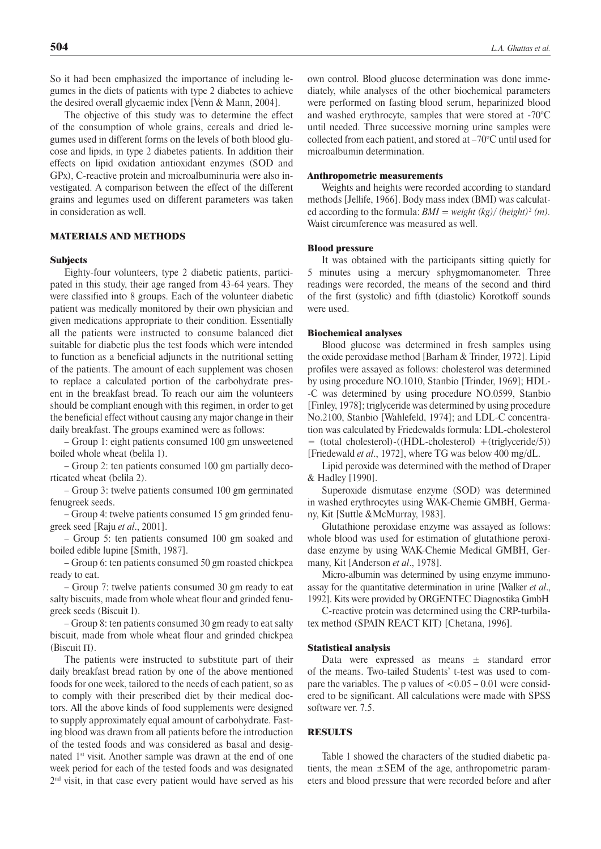So it had been emphasized the importance of including legumes in the diets of patients with type 2 diabetes to achieve the desired overall glycaemic index [Venn & Mann, 2004].

The objective of this study was to determine the effect of the consumption of whole grains, cereals and dried legumes used in different forms on the levels of both blood glucose and lipids, in type 2 diabetes patients. In addition their effects on lipid oxidation antioxidant enzymes (SOD and GPx), C -reactive protein and microalbuminuria were also investigated. A comparison between the effect of the different grains and legumes used on different parameters was taken in consideration as well.

## MATERIALS AND METHODS

### **Subjects**

Eighty-four volunteers, type 2 diabetic patients, participated in this study, their age ranged from 43-64 years. They were classified into 8 groups. Each of the volunteer diabetic patient was medically monitored by their own physician and given medications appropriate to their condition. Essentially all the patients were instructed to consume balanced diet suitable for diabetic plus the test foods which were intended to function as a beneficial adjuncts in the nutritional setting of the patients. The amount of each supplement was chosen to replace a calculated portion of the carbohydrate present in the breakfast bread. To reach our aim the volunteers should be compliant enough with this regimen, in order to get the beneficial effect without causing any major change in their daily breakfast. The groups examined were as follows:

– Group 1: eight patients consumed 100 gm unsweetened boiled whole wheat (belila 1).

– Group 2: ten patients consumed 100 gm partially decorticated wheat (belila 2).

– Group 3: twelve patients consumed 100 gm germinated fenugreek seeds.

– Group 4: twelve patients consumed 15 gm grinded fenugreek seed [Raju *et al*., 2001].

– Group 5: ten patients consumed 100 gm soaked and boiled edible lupine [Smith, 1987].

– Group 6: ten patients consumed 50 gm roasted chickpea ready to eat.

– Group 7: twelve patients consumed 30 gm ready to eat salty biscuits, made from whole wheat flour and grinded fenugreek seeds (Biscuit I).

– Group 8: ten patients consumed 30 gm ready to eat salty biscuit, made from whole wheat flour and grinded chickpea (Biscuit Π).

The patients were instructed to substitute part of their daily breakfast bread ration by one of the above mentioned foods for one week, tailored to the needs of each patient, so as to comply with their prescribed diet by their medical doctors. All the above kinds of food supplements were designed to supply approximately equal amount of carbohydrate. Fasting blood was drawn from all patients before the introduction of the tested foods and was considered as basal and designated 1st visit. Another sample was drawn at the end of one week period for each of the tested foods and was designated 2nd visit, in that case every patient would have served as his own control. Blood glucose determination was done immediately, while analyses of the other biochemical parameters were performed on fasting blood serum, heparinized blood and washed erythrocyte, samples that were stored at -70°C until needed. Three successive morning urine samples were collected from each patient, and stored at –70°C until used for microalbumin determination.

### Anthropometric measurements

Weights and heights were recorded according to standard methods [Jellife, 1966]. Body mass index (BMI) was calculated according to the formula: *BMI = weight (kg)/ (height)*<sup>2</sup> *(m).* Waist circumference was measured as well.

### Blood pressure

It was obtained with the participants sitting quietly for 5 minutes using a mercury sphygmomanometer. Three readings were recorded, the means of the second and third of the first (systolic) and fifth (diastolic) Korotkoff sounds were used.

#### Biochemical analyses

Blood glucose was determined in fresh samples using the oxide peroxidase method [Barham & Trinder, 1972]. Lipid profiles were assayed as follows: cholesterol was determined by using procedure NO.1010, Stanbio [Trinder, 1969]; HDL- -C was determined by using procedure NO.0599, Stanbio [Finley, 1978]; triglyceride was determined by using procedure No.2100, Stanbio [Wahlefeld, 1974]; and LDL-C concentration was calculated by Friedewalds formula: LDL-cholesterol = (total cholesterol)-((HDL-cholesterol) +(triglyceride/5)) [Friedewald *et al*., 1972], where TG was below 400 mg/dL.

Lipid peroxide was determined with the method of Draper & Hadley [1990].

Superoxide dismutase enzyme (SOD) was determined in washed erythrocytes using WAK-Chemie GMBH, Germany, Kit [Suttle &McMurray, 1983].

Glutathione peroxidase enzyme was assayed as follows: whole blood was used for estimation of glutathione peroxidase enzyme by using WAK-Chemie Medical GMBH, Germany, Kit [Anderson *et al*., 1978].

Micro-albumin was determined by using enzyme immunoassay for the quantitative determination in urine [Walker *et al*., 1992]. Kits were provided by ORGENTEC Diagnostika GmbH

C-reactive protein was determined using the CRP-turbilatex method (SPAIN REACT KIT) [Chetana, 1996].

### Statistical analysis

Data were expressed as means ± standard error of the means. Two-tailed Students' t-test was used to compare the variables. The p values of  $\leq 0.05 - 0.01$  were considered to be significant. All calculations were made with SPSS software ver. 7.5.

### **RESULTS**

Table 1 showed the characters of the studied diabetic patients, the mean  $\pm$ SEM of the age, anthropometric parameters and blood pressure that were recorded before and after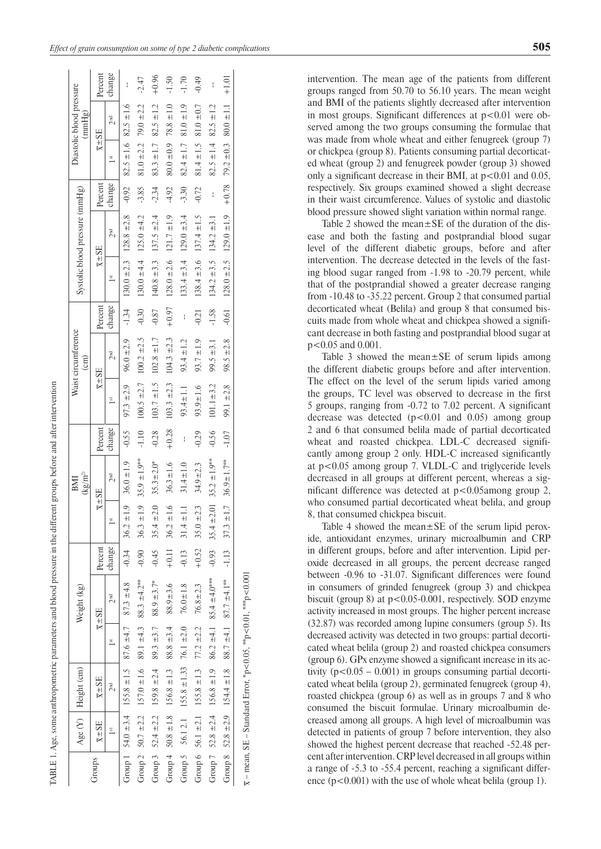$\overline{1}$ 

ABLE 1. Age, some anthropometric parameters and blood pressure in the different groups before and after intervention 1. Age, some anthropometric parameters and blood pressure in the different groups before and after intervention

|                                         | Percent                           | . change        |                                                                      | $-2.47$                                                                            | $+0.96$                                               | $-1.50$                                               | $-1.70$                                         | $-0.49$                                               |                                                                         | $+1.01$                                                                            |  |
|-----------------------------------------|-----------------------------------|-----------------|----------------------------------------------------------------------|------------------------------------------------------------------------------------|-------------------------------------------------------|-------------------------------------------------------|-------------------------------------------------|-------------------------------------------------------|-------------------------------------------------------------------------|------------------------------------------------------------------------------------|--|
| diastolic blood pressure<br>(mmHg)      | $\overline{x} \pm S E$            | ) nd            | $82.5 \pm 1.6$ $82.5 \pm 1.6$                                        | $79.0 \pm 2.2$                                                                     | $83.3 \pm 1.7$ $82.5 \pm 1.2$                         | $80.0 \pm 0.9$ 78.8 $\pm 1.0$                         | $82.4 \pm 1.7$ $81.0 \pm 1.9$                   | $81.4 \pm 1.5$ $81.0 \pm 0.7$                         | $82.5 \pm 1.4$ $82.5 \pm 1.2$                                           | $80.0 \pm 1.1$                                                                     |  |
|                                         |                                   | 5               |                                                                      | $81.0 \pm 2.2$                                                                     |                                                       |                                                       |                                                 |                                                       |                                                                         | $79.2 \pm 0.3$                                                                     |  |
|                                         | Percent                           | change          | $-0.92$                                                              | $-3.85$                                                                            | $-2.34$                                               | $-4.92$                                               | $-3.30$                                         | $-0.72$                                               | ł                                                                       | $+0.78$                                                                            |  |
| Systolic blood pressure (mmHg)          | $\overline{X} \pm S \overline{E}$ | <b>PuC</b>      | $130.0 \pm 2.3$ $128.8 \pm 2.8$                                      | $130.0 \pm 4.4$ $125.0 \pm 4.2$                                                    | $140.8 \pm 3.3$ 137.5 $\pm 2.4$                       | $128.0 \pm 2.6$ $121.7 \pm 1.9$                       | $133.4 \pm 3.4$ $129.0 \pm 3.4$                 | $138.4 \pm 3.6$ $137.4 \pm 1.5$                       | $134.2 \pm 3.1$                                                         | $128.0 \pm 2.5$ $129.0 \pm 1.9$                                                    |  |
|                                         |                                   | 5               |                                                                      |                                                                                    |                                                       |                                                       |                                                 |                                                       | $134.2 \pm 3.5$                                                         |                                                                                    |  |
|                                         | Percen <sup>+</sup>               | change          | $-1.34$                                                              | $-0.30$                                                                            | $-0.87$                                               | $+0.97$                                               | ł                                               | $-0.21$                                               | $-1.58$                                                                 | $-0.61$                                                                            |  |
| Waist circumference<br>$\binom{cm}{2}$  | $\overline{X} \pm S \overline{E}$ |                 | $96.0 \pm 2.9$                                                       | $100.2 \pm 2.5$                                                                    | $103.7 \pm 1.5$ $102.8 \pm 1.7$                       | $104.3 \pm 2.3$                                       | $93.4 \pm 1.2$                                  | $93.7 \pm 1.9$                                        | $99.5 \pm 3.1$                                                          | $98.5 \pm 2.8$                                                                     |  |
|                                         |                                   |                 | $97.3 \pm 2.9$                                                       | $100.5 \pm 2.7$                                                                    |                                                       | $103.3 \pm 2.3$                                       | $93.4 \pm 1.1$                                  | $93.9 \pm 1.6$                                        | $101.1 \pm 3.2$                                                         | $99.1 \pm 2.8$                                                                     |  |
|                                         | Percent                           | change          | $-0.55$                                                              | $-1.10$                                                                            | $-0.28$                                               | $+0.28$                                               |                                                 | $-0.29$                                               | $-0.56$                                                                 | $-1.07$                                                                            |  |
| $\left(\frac{k\rho}{m^2}\right)$<br>BMI | $\overline{x} \pm S \mathbb{E}$   | 2 <sub>nd</sub> | $36.0 \pm 1.9$                                                       | 35.9 $\pm$ 1.9**                                                                   | $35.3 \pm 2.0*$                                       | $36.3 \pm 1.6$                                        | $31.4 \pm 1.0$                                  | $34.9 \pm 2.3$                                        | $35.2 \pm 1.9***$                                                       | $36.9 \pm 1.7***$                                                                  |  |
|                                         |                                   |                 | $\pm$ 1.9                                                            | $\pm 1.9$<br>36.3                                                                  | ±2.0<br>35.4                                          | $\pm 1.6$<br>36.2                                     | $\frac{11}{11}$<br>31.4                         | ±2.3<br>35.0                                          | $35.4 \pm 2.01$                                                         | ±1.7<br>37.3                                                                       |  |
|                                         | Percent                           | change          | $-0.34$ 36.2                                                         | $-0.90$                                                                            | $-0.45$                                               | $+0.11$                                               | $-0.13$                                         | $+0.52$                                               | $-0.93$                                                                 | $-1.13$                                                                            |  |
| Weight (kg)                             | $\overline{x}$ = SE               | <b>PuC</b>      |                                                                      |                                                                                    |                                                       | $88.9 \pm 3.6$                                        | $76.0 \pm 1.8$                                  | $76.8 \pm 2.3$                                        |                                                                         |                                                                                    |  |
|                                         |                                   |                 |                                                                      |                                                                                    |                                                       |                                                       |                                                 |                                                       |                                                                         |                                                                                    |  |
| Age $(Y)$   Height (cm)                 | $\overline{X} \pm S \mathbb{E}$   | 2 <sub>nd</sub> | Group 1 $54.0 \pm 3.4$ 155.8 $\pm$ 1.5 87.6 $\pm$ 4.7 87.3 $\pm$ 4.8 | Group 2 50.7 $\pm$ 2.2 157.0 $\pm$ 1.6 89.1 $\pm$ 4.3 88.3 $\pm$ 4.2 <sup>**</sup> | Group 3 52.4 ± 2.2 159.8 ± 2.4 89.3 ± 3.7 88.9 ± 3.7* | Group 4 $50.8 \pm 1.8$ $156.8 \pm 1.3$ $88.8 \pm 3.4$ | Group 5 56.12.1 155.8 $\pm$ 1.33 76.1 $\pm$ 2.0 | Group 6 56.1 $\pm 2.1$ 155.8 $\pm 1.3$ 77.2 $\pm 2.2$ | Group 7 52.8 $\pm$ 2.4 156.8 $\pm$ 1.9 86.2 $\pm$ 4.1 85.4 $\pm$ 4.0*** | Group 8 52.8 $\pm$ 2.9 154.4 $\pm$ 1.8 88.7 $\pm$ 4.1 87.7 $\pm$ 4.1 <sup>**</sup> |  |
|                                         | $\overline{x} \pm S E$            | 51              |                                                                      |                                                                                    |                                                       |                                                       |                                                 |                                                       |                                                                         |                                                                                    |  |
|                                         | Groups                            |                 |                                                                      |                                                                                    |                                                       |                                                       |                                                 |                                                       |                                                                         |                                                                                    |  |

 $\overline{x}$  – mean, SE – Standard Error, \*p<0.05, \*\*p<0.01, \*\*\*p<0.001  $\bar{x}$  – mean, SE – Standard Error, \*p<0.05, \*\*p<0.01, \*\*\*p<0.001 intervention. The mean age of the patients from different groups ranged from 50.70 to 56.10 years. The mean weight and BMI of the patients slightly decreased after intervention in most groups. Significant differences at  $p<0.01$  were observed among the two groups consuming the formulae that was made from whole wheat and either fenugreek (group 7) or chickpea (group 8). Patients consuming partial decorticated wheat (group 2) and fenugreek powder (group 3) showed only a significant decrease in their BMI, at  $p < 0.01$  and 0.05, respectively. Six groups examined showed a slight decrease in their waist circumference. Values of systolic and diastolic blood pressure showed slight variation within normal range.

Table 2 showed the mean $\pm$ SE of the duration of the disease and both the fasting and postprandial blood sugar level of the different diabetic groups, before and after intervention. The decrease detected in the levels of the fasting blood sugar ranged from -1.98 to -20.79 percent, while that of the postprandial showed a greater decrease ranging from -10.48 to -35.22 percent. Group 2 that consumed partial decorticated wheat (Belila) and group 8 that consumed biscuits made from whole wheat and chickpea showed a significant decrease in both fasting and postprandial blood sugar at p<0.05 and 0.001.

Table 3 showed the mean $\pm$ SE of serum lipids among the different diabetic groups before and after intervention. The effect on the level of the serum lipids varied among the groups, TC level was observed to decrease in the first 5 groups, ranging from -0.72 to 7.02 percent. A significant decrease was detected  $(p<0.01$  and 0.05) among group 2 and 6 that consumed belila made of partial decorticated wheat and roasted chickpea. LDL-C decreased significantly among group 2 only. HDL-C increased significantly at p<0.05 among group 7. VLDL-C and triglyceride levels decreased in all groups at different percent, whereas a significant difference was detected at  $p < 0.05$ among group 2, who consumed partial decorticated wheat belila, and group 8, that consumed chickpea biscuit.

Table 4 showed the mean $\pm$ SE of the serum lipid peroxide, antioxidant enzymes, urinary microalbumin and CRP in different groups, before and after intervention. Lipid peroxide decreased in all groups, the percent decrease ranged between -0.96 to -31.07. Significant differences were found in consumers of grinded fenugreek (group 3) and chickpea biscuit (group 8) at p<0.05-0.001, respectively. SOD enzyme activity increased in most groups. The higher percent increase (32.87) was recorded among lupine consumers (group 5). Its decreased activity was detected in two groups: partial decorticated wheat belila (group 2) and roasted chickpea consumers (group 6). GPx enzyme showed a significant increase in its activity  $(p<0.05 - 0.001)$  in groups consuming partial decorticated wheat belila (group 2), germinated fenugreek (group 4), roasted chickpea (group 6) as well as in groups 7 and 8 who consumed the biscuit formulae. Urinary microalbumin decreased among all groups. A high level of microalbumin was detected in patients of group 7 before intervention, they also showed the highest percent decrease that reached -52.48 percent after intervention. CRP level decreased in all groups within a range of -5.3 to -55.4 percent, reaching a significant difference  $(p<0.001)$  with the use of whole wheat belila (group 1).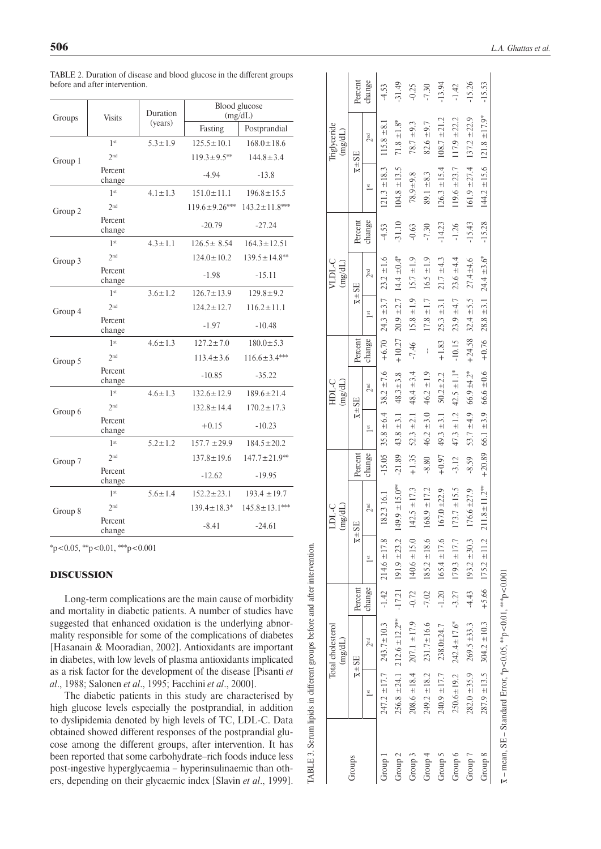| Groups  | <b>Visits</b>     | Duration      |                      | Blood glucose<br>(mg/dL) |
|---------|-------------------|---------------|----------------------|--------------------------|
|         |                   | (years)       | Fasting              | Postprandial             |
|         | 1 <sup>st</sup>   | $5.3 \pm 1.9$ | $125.5 \pm 10.1$     | $168.0 \pm 18.6$         |
| Group 1 | 2 <sub>nd</sub>   |               | $119.3 \pm 9.5$ **   | $144.8 \pm 3.4$          |
|         | Percent<br>change |               | $-4.94$              | $-13.8$                  |
|         | 1 <sub>st</sub>   | $4.1 \pm 1.3$ | $151.0 \pm 11.1$     | $196.8 \pm 15.5$         |
| Group 2 | 2 <sub>nd</sub>   |               | $119.6 \pm 9.26$ *** | $143.2 \pm 11.8***$      |
|         | Percent<br>change |               | $-20.79$             | $-27.24$                 |
|         | 1st               | $4.3 \pm 1.1$ | $126.5 \pm 8.54$     | $164.3 \pm 12.51$        |
| Group 3 | 2 <sub>nd</sub>   |               | $124.0 \pm 10.2$     | $139.5 \pm 14.8$ **      |
|         | Percent<br>change |               | $-1.98$              | $-15.11$                 |
|         | 1 <sup>st</sup>   | $3.6 \pm 1.2$ | $126.7 \pm 13.9$     | $129.8 \pm 9.2$          |
| Group 4 | 2 <sub>nd</sub>   |               | $124.2 \pm 12.7$     | $116.2 \pm 11.1$         |
|         | Percent<br>change |               | $-1.97$              | $-10.48$                 |
|         | 1 <sup>st</sup>   | $4.6 \pm 1.3$ | $127.2 \pm 7.0$      | $180.0 \pm 5.3$          |
| Group 5 | 2 <sup>nd</sup>   |               | $113.4 \pm 3.6$      | $116.6 \pm 3.4***$       |
|         | Percent<br>change |               | $-10.85$             | $-35.22$                 |
|         | 1 <sup>st</sup>   | $4.6 \pm 1.3$ | $132.6 \pm 12.9$     | $189.6 \pm 21.4$         |
| Group 6 | 2 <sub>nd</sub>   |               | $132.8 \pm 14.4$     | $170.2 \pm 17.3$         |
|         | Percent<br>change |               | $+0.15$              | $-10.23$                 |
|         | 1 <sub>st</sub>   | $5.2 \pm 1.2$ | $157.7 \pm 29.9$     | $184.5 \pm 20.2$         |
| Group 7 | 2 <sup>nd</sup>   |               | $137.8 \pm 19.6$     | $147.7 \pm 21.9$ **      |
|         | Percent<br>change |               | $-12.62$             | $-19.95$                 |
|         | 1 <sup>st</sup>   | $5.6 \pm 1.4$ | $152.2 \pm 23.1$     | $193.4 \pm 19.7$         |
| Group 8 | 2 <sub>nd</sub>   |               | $139.4 \pm 18.3^*$   | $145.8 \pm 13.1***$      |
|         | Percent<br>change |               | $-8.41$              | $-24.61$                 |

Table 2. Duration of disease and blood glucose in the different groups before and after intervention.

 $*p<0.05$ ,  $*p<0.01$ ,  $**p<0.001$ 

## DISCUSSION

Long-term complications are the main cause of morbidity and mortality in diabetic patients. A number of studies have suggested that enhanced oxidation is the underlying abnormality responsible for some of the complications of diabetes [Hasanain & Mooradian, 2002]. Antioxidants are important in diabetes, with low levels of plasma antioxidants implicated as a risk factor for the development of the disease [Pisanti *et al*., 1988; Salonen *et al*., 1995; Facchini *et al*., 2000].

Table 3. Serum lipids in different groups before and after intervention.

TABLE 3. Serum lipids in different groups before and after intervention.

The diabetic patients in this study are characterised by high glucose levels especially the postprandial, in addition to dyslipidemia denoted by high levels of TC, LDL-C. Data obtained showed different responses of the postprandial glucose among the different groups, after intervention. It has been reported that some carbohydrate–rich foods induce less post-ingestive hyperglycaemia – hyperinsulinaemic than others, depending on their glycaemic index [Slavin *et al*., 1999].

|                    |                          | Total cholesterol<br>(mg/dL)                    |         |                           | <b>CCCC</b><br>mg/dL            |          |                                        | HDL-C<br>(mg/dL)                                                    |          |                | VLDL-C<br>(mg/dL)                      |          |                  | <b>Triglyceride</b><br>(mg/dL)      |          |
|--------------------|--------------------------|-------------------------------------------------|---------|---------------------------|---------------------------------|----------|----------------------------------------|---------------------------------------------------------------------|----------|----------------|----------------------------------------|----------|------------------|-------------------------------------|----------|
| Groups             |                          | $\overline{x}$ ± SE                             | Percent |                           | $\overline{X} \pm S \mathbb{E}$ | Percent  |                                        | $\overline{x}$ = SE                                                 | Percent  |                | $\overline{x} \pm S \mathbb{E}$        | Percent  |                  | $\overline{X} \pm S \overline{E}$   | Percent  |
|                    | $\overline{\phantom{a}}$ | 2 <sup>nd</sup>                                 | change  | $\overline{\phantom{a}}$  | 2 <sup>nd</sup>                 | change   | $\frac{1}{3}$                          | 2 <sup>nd</sup>                                                     | change   | $\frac{1}{2}$  | 2 <sup>nd</sup>                        | change   | 1 <sub>st</sub>  | 2 <sup>nd</sup>                     | change   |
| Group 1            |                          | $247.2 \pm 17.7$ $243.7 \pm 10.3$               |         | $-1.42$ 214.6 $\pm$ 17.8  | 182.3 16.1                      | $-15.05$ |                                        | $35.8 \pm 6.4$ $38.2 \pm 7.6$ $+6.70$ $24.3 \pm 3.7$ $23.2 \pm 1.6$ |          |                |                                        | $-4.53$  | $121.3 \pm 18.3$ | $115.8 \pm 8.1$                     | $-4.53$  |
| Group <sub>2</sub> |                          | $256.8 \pm 24.1$ $212.6 \pm 12.2$ <sup>**</sup> |         | $-17.21$ 191.9 $\pm 23.2$ | $149.9 \pm 15.0$ <sup>**</sup>  | $-21.89$ | $43.8 \pm 3.1$                         | $48.3 \pm 3.8$                                                      | $+10.27$ |                | $20.9 \pm 2.7$ 14.4 $\pm 0.4^*$        | $-31.10$ | $104.8 \pm 13.5$ | $71.8 \pm 1.8^*$                    | $-31.49$ |
| Group 3            | $208.6 \pm 18.4$         | $207.1 \pm 17.9$                                | $-0.72$ | $140.6 \pm 15.0$          | $142.5 \pm 17.3$                | $+1.35$  | $52.3 \pm 2.1$                         | $48.4 \pm 3.4$                                                      | $-7.46$  |                | $15.8 \pm 1.9$ $15.7 \pm 1.9$          | $-0.63$  | $78.9 \pm 9.8$   | $78.7 \pm 9.3$                      | $-0.25$  |
| Group <sub>4</sub> | $249.2 \pm 18.2$         | $231.7 \pm 16.6$                                | $-7.02$ | $185.2 \pm 18.6$          | $68.9 \pm 17.2$                 | $-8.80$  | $46.2 \pm 3.0$                         | $46.2 \pm 1.9$                                                      | ł        | $17.8 \pm 1.7$ | $16.5 \pm 1.9$                         | $-7.30$  | $89.1 \pm 8.3$   | $82.6 \pm 9.7$                      | $-7.30$  |
| Group 5            | $240.9 \pm 17.7$         | 238.0±24.7                                      | $-1.20$ | $165.4 \pm 17.6$          | $167.0 \pm 22.9$                | $+0.97$  | $49.3 \pm 3.1$                         | $50.2 \pm 2.2$                                                      | $+1.83$  | $25.3 \pm 3.1$ | $21.7 \pm 4.3$                         | $-14.23$ | $126.3 \pm 15.4$ | $108.7 \pm 21.2$                    | $-13.94$ |
| Group 6            | $250.6 \pm 19.2$         | $242.4 \pm 17.6^*$                              | $-3.27$ | $179.3 \pm 17.7$          | $173.7 \pm 15.5$                | $-3.12$  | $47.3 \pm 1.2$                         | $42.5 \pm 1.1$ *                                                    | $-10.15$ | $23.9 \pm 4.7$ | $23.6 \pm 4.4$                         | $-1.26$  | $19.6 \pm 23.7$  | $117.9 \pm 22.2$                    | $-1.42$  |
| Group 7            | $282.0 \pm 35.9$         | $269.5 \pm 33.3$                                | $-4.43$ | $193.2 \pm 30.3$          | $176.6 \pm 27.9$                | $-8.59$  | 53.7 $\pm 4.9$                         | $66.9 \pm 4.2$ *                                                    | $+24.58$ | $32.4 \pm 5.5$ | $27.4 \pm 4.6$                         | $-15.43$ | $161.9 \pm 27.4$ | $137.2 \pm 22.9$                    | $-15.26$ |
| Group 8            |                          | $287.9 \pm 13.5$ 304.2 $\pm 10.3$               |         | $+5.66$ 175.2 $\pm$ 11.2  | $211.8 \pm 11.2***$             |          | $+20.89$ 66.1 $\pm 3.9$ 66.6 $\pm 0.6$ |                                                                     |          |                | $+0.76$ 28.8 $\pm$ 3.1 24.4 $\pm$ 3.6* | $-15.28$ |                  | $144.2 \pm 15.6$ 121.8 $\pm 17.9^*$ | $-15.53$ |

 $\overline{x}$  – mean, SE – Standard Error, \*p<0.05, \*\*p<0.01, \*\*\*p<0.001 l 100`0>d.  $p<0.01,$  $p<0.05,$ – Standard Error, \* mean, SE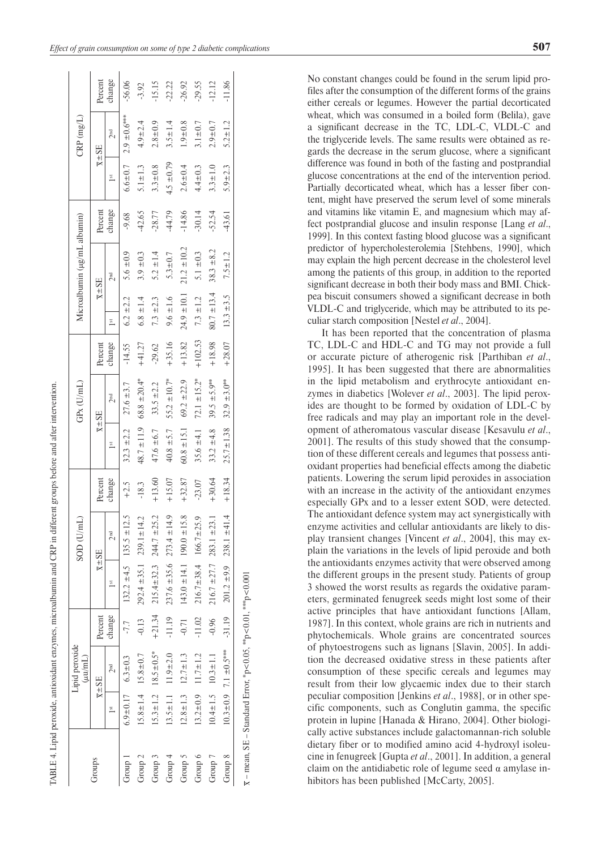|                                                                      |                | Lipid peroxide<br>$(\mu\nu/\text{mL})$ |          |                                   | SOD (U/mL)                        |          |                 | $GPX$ (U/mL)           |           |                 | Microalbumin (µg/mL albumin)      |          |                             | $CRP$ (mg/L)                    |          |
|----------------------------------------------------------------------|----------------|----------------------------------------|----------|-----------------------------------|-----------------------------------|----------|-----------------|------------------------|-----------|-----------------|-----------------------------------|----------|-----------------------------|---------------------------------|----------|
| Groups                                                               |                | $\overline{X} \pm S \mathbb{E}$        | Percent  |                                   | $\overline{X} \pm S \overline{E}$ | Percent  |                 | $\overline{x} \pm S E$ | Percent   |                 | $\overline{X} \pm S \overline{E}$ | Percent  |                             | $\overline{x} \pm S \mathbb{E}$ | Percent  |
|                                                                      | $\frac{1}{3}$  | 2 <sup>nd</sup>                        | change   | $1$ st                            | 2 <sup>nd</sup>                   | change   | 1 <sub>st</sub> | 2 <sup>nd</sup>        | change    | $\frac{1}{3}$   | 2 <sub>nd</sub>                   | change   | $\overline{\phantom{a}}$ st | 2 <sup>nd</sup>                 | change   |
| Group                                                                |                | $6.9 \pm 0.17$ $6.3 \pm 0.3$           | $-7.7$   |                                   | $132.2 \pm 4.5$ $135.5 \pm 12.5$  | $+2.5$   | $32.3 \pm 2.2$  | $27.6 \pm 3.7$         | $-14.55$  | $6.2 \pm 2.2$   | 5.6 $\pm$ 0.9                     | $-9.68$  | $6.6 \pm 0.7$               | $2.9 \pm 0.6***$                | $-56.06$ |
| Group <sub>2</sub>                                                   |                | $15.8 \pm 1.4$ $15.8 \pm 0.7$          | $-0.13$  | $292.4 \pm 35.1$ $239.1 \pm 14.2$ |                                   | $-18.3$  | $48.7 \pm 11.9$ | $68.8 \pm 20.4^*$      | $+41.27$  | $6.8 \pm 1.4$   | $3.9 \pm 0.3$                     | $-42.65$ | $5.1 \pm 1.3$               | $4.9 + 2.4$                     | $-3.92$  |
| Group 3                                                              |                | $15.3 \pm 1.2$ $18.5 \pm 0.5^*$        | $+21.34$ |                                   | $215.4 \pm 32.3$ $244.7 \pm 25.2$ | $+13.60$ | $47.6 \pm 6.7$  | $33.5 \pm 2.2$         | $-29.62$  | $7.3 \pm 2.3$   | $5.2 \pm 1.4$                     | $-28.77$ | $3.3 \pm 0.8$               | $2.8 + 0.9$                     | $-15.15$ |
| Group 4                                                              | $13.5 \pm 1.1$ | $11.9 \pm 2.0$                         | $-11.19$ |                                   | $237.6 \pm 35.6$ $273.4 \pm 14.9$ | $+15.07$ | $40.8 \pm 5.7$  | $55.2 \pm 10.7^*$      | $+35.16$  | $9.6 \pm 1.6$   | $5.3 \pm 0.7$                     | $-44.79$ | $4.5 \pm 0.79$              | $3.5 \pm 1.4$                   | .22.22   |
| Group 5                                                              | $12.8 \pm 1.3$ | $12.7 \pm 1.3$                         | $-0.71$  |                                   | $143.0 \pm 14.1$ 190.0 $\pm$ 15.8 | $+32.87$ | $60.8 \pm 15.1$ | $69.2 \pm 22.9$        | $+13.82$  | $24.9 \pm 10.1$ | $21.2 \pm 10.2$                   | $-14.86$ | $2.6 + 0.4$                 | $1.9 \pm 0.8$                   | $-26.92$ |
| Group 6                                                              | $13.2 \pm 0.9$ | $11.7 \pm 1.2$                         | $-11.02$ |                                   | $216.7 \pm 38.4$ $166.7 \pm 25.9$ | $-23.07$ | $35.6 \pm 4.1$  | $72.1 \pm 15.2^*$      | $+102.53$ | $7.3 \pm 1.2$   | $5.1 \pm 0.3$                     | $-30.14$ | $4.4 \pm 0.3$               | $3.1 \pm 0.7$                   | $-29.55$ |
| Group 7                                                              |                | $10.4 \pm 1.5$ $10.3 \pm 1.1$          | $-0.96$  |                                   | $216.7 \pm 27.7$ $283.1 \pm 23.1$ | $+30.64$ | $33.2 \pm 4.8$  | 39.5 $\pm$ 5.9**       | $+18.98$  | $80.7 \pm 13.4$ | $38.3 \pm 8.2$                    | $-52.54$ | $3.3 \pm 1.0$               | $2.9 \pm 0.7$                   | $-12.12$ |
| Group 8                                                              |                | $10.3 \pm 0.9$ 7.1 $\pm 0.5$ ***       | $-31.19$ |                                   | $201.2 \pm 9.9$ 238.1 $\pm 41.4$  | $+18.34$ | $25.7 \pm 1.38$ | $32.9 \pm 3.0***$      | $+28.07$  | $13.3 \pm 3.5$  | $7.5 \pm 1.2$                     | $-43.61$ | $5.9 + 2.3$                 | $5.2 \pm 1.2$                   | 11.86    |
| $\bar{x}$ – mean, SE – Standard Error, *p<0.05, **p<0.01, ***p<0.001 |                |                                        |          |                                   |                                   |          |                 |                        |           |                 |                                   |          |                             |                                 |          |

CABLE 4. Lipid peroxide, antioxidant enzymes, microalbumin and CRP in different groups before and after intervention

4. Lipid peroxide, antioxidant enzymes, microalbumin and CRP in different groups before and after intervention.

No constant changes could be found in the serum lipid profiles after the consumption of the different forms of the grains either cereals or legumes. However the partial decorticated wheat, which was consumed in a boiled form (Belila), gave a significant decrease in the TC, LDL-C, VLDL-C and the triglyceride levels. The same results were obtained as regards the decrease in the serum glucose, where a significant difference was found in both of the fasting and postprandial glucose concentrations at the end of the intervention period. Partially decorticated wheat, which has a lesser fiber content, might have preserved the serum level of some minerals and vitamins like vitamin E, and magnesium which may affect postprandial glucose and insulin response [Lang *et al*., 1999]. In this context fasting blood glucose was a significant predictor of hypercholesterolemia [Stehbens, 1990], which may explain the high percent decrease in the cholesterol level among the patients of this group, in addition to the reported significant decrease in both their body mass and BMI. Chickpea biscuit consumers showed a significant decrease in both VLDL-C and triglyceride, which may be attributed to its peculiar starch composition [Nestel *et al*., 2004].

It has been reported that the concentration of plasma TC, LDL-C and HDL-C and TG may not provide a full or accurate picture of atherogenic risk [Parthiban *et al*., 1995]. It has been suggested that there are abnormalities in the lipid metabolism and erythrocyte antioxidant enzymes in diabetics [Wolever *et al*., 2003]. The lipid peroxides are thought to be formed by oxidation of LDL-C by free radicals and may play an important role in the development of atheromatous vascular disease [Kesavulu *et al*., 2001]. The results of this study showed that the consumption of these different cereals and legumes that possess antioxidant properties had beneficial effects among the diabetic patients. Lowering the serum lipid peroxides in association with an increase in the activity of the antioxidant enzymes especially GPx and to a lesser extent SOD, were detected. The antioxidant defence system may act synergistically with enzyme activities and cellular antioxidants are likely to display transient changes [Vincent *et al*., 2004], this may explain the variations in the levels of lipid peroxide and both the antioxidants enzymes activity that were observed among the different groups in the present study. Patients of group 3 showed the worst results as regards the oxidative parameters, germinated fenugreek seeds might lost some of their active principles that have antioxidant functions [Allam, 1987]. In this context, whole grains are rich in nutrients and phytochemicals. Whole grains are concentrated sources of phytoestrogens such as lignans [Slavin, 2005]. In addition the decreased oxidative stress in these patients after consumption of these specific cereals and legumes may result from their low glycaemic index due to their starch peculiar composition [Jenkins *et al*., 1988], or in other specific components, such as Conglutin gamma, the specific protein in lupine [Hanada & Hirano, 2004]. Other biologically active substances include galactomannan-rich soluble dietary fiber or to modified amino acid 4-hydroxyl isoleucine in fenugreek [Gupta *et al*., 2001]. In addition, a general claim on the antidiabetic role of legume seed  $\alpha$  amylase inhibitors has been published [McCarty, 2005].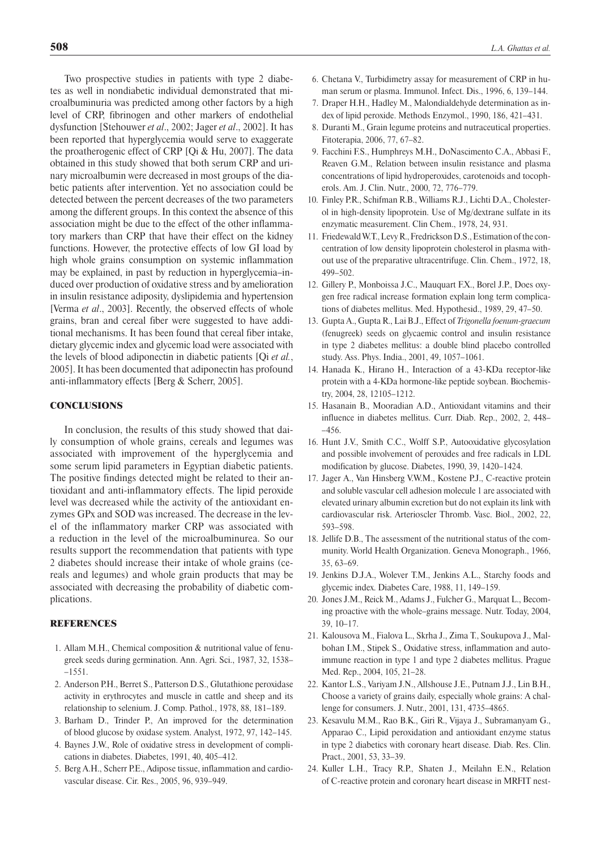Two prospective studies in patients with type 2 diabetes as well in nondiabetic individual demonstrated that microalbuminuria was predicted among other factors by a high level of CRP, fibrinogen and other markers of endothelial dysfunction [Stehouwer *et al*., 2002; Jager *et al*., 2002]. It has been reported that hyperglycemia would serve to exaggerate the proatherogenic effect of CRP [Qi & Hu, 2007]. The data obtained in this study showed that both serum CRP and urinary microalbumin were decreased in most groups of the diabetic patients after intervention. Yet no association could be detected between the percent decreases of the two parameters among the different groups. In this context the absence of this association might be due to the effect of the other inflammatory markers than CRP that have their effect on the kidney functions. However, the protective effects of low GI load by high whole grains consumption on systemic inflammation may be explained, in past by reduction in hyperglycemia–induced over production of oxidative stress and by amelioration in insulin resistance adiposity, dyslipidemia and hypertension [Verma *et al*., 2003]. Recently, the observed effects of whole grains, bran and cereal fiber were suggested to have additional mechanisms. It has been found that cereal fiber intake, dietary glycemic index and glycemic load were associated with the levels of blood adiponectin in diabetic patients [Qi *et al.*, 2005]. It has been documented that adiponectin has profound anti-inflammatory effects [Berg & Scherr, 2005].

## **CONCLUSIONS**

In conclusion, the results of this study showed that daily consumption of whole grains, cereals and legumes was associated with improvement of the hyperglycemia and some serum lipid parameters in Egyptian diabetic patients. The positive findings detected might be related to their antioxidant and anti-inflammatory effects. The lipid peroxide level was decreased while the activity of the antioxidant enzymes GPx and SOD was increased. The decrease in the level of the inflammatory marker CRP was associated with a reduction in the level of the microalbuminurea. So our results support the recommendation that patients with type 2 diabetes should increase their intake of whole grains (cereals and legumes) and whole grain products that may be associated with decreasing the probability of diabetic complications.

## **REFERENCES**

- 1. Allam M.H., Chemical composition & nutritional value of fenugreek seeds during germination. Ann. Agri. Sci., 1987, 32, 1538– –1551.
- 2. Anderson P.H., Berret S., Patterson D.S., Glutathione peroxidase activity in erythrocytes and muscle in cattle and sheep and its relationship to selenium. J. Comp. Pathol., 1978, 88, 181–189.
- 3. Barham D., Trinder P., An improved for the determination of blood glucose by oxidase system. Analyst, 1972, 97, 142–145.
- 4. Baynes J.W., Role of oxidative stress in development of complications in diabetes. Diabetes, 1991, 40, 405–412.
- 5. Berg A.H., Scherr P.E., Adipose tissue, inflammation and cardiovascular disease. Cir. Res., 2005, 96, 939–949.
- 6. Chetana V., Turbidimetry assay for measurement of CRP in human serum or plasma. Immunol. Infect. Dis., 1996, 6, 139–144.
- 7. Draper H.H., Hadley M., Malondialdehyde determination as index of lipid peroxide. Methods Enzymol., 1990, 186, 421–431.
- 8. Duranti M., Grain legume proteins and nutraceutical properties. Fitoterapia, 2006, 77, 67–82.
- 9. Facchini F.S., Humphreys M.H., DoNascimento C.A., Abbasi F., Reaven G.M., Relation between insulin resistance and plasma concentrations of lipid hydroperoxides, carotenoids and tocopherols. Am. J. Clin. Nutr., 2000, 72, 776–779.
- 10. Finley P.R., Schifman R.B., Williams R.J., Lichti D.A., Cholesterol in high-density lipoprotein. Use of Mg/dextrane sulfate in its enzymatic measurement. Clin Chem., 1978, 24, 931.
- 11. Friedewald W.T., Levy R., Fredrickson D.S., Estimation ofthe concentration of low density lipoprotein cholesterol in plasma without use of the preparative ultracentrifuge. Clin. Chem., 1972, 18, 499–502.
- 12. Gillery P., Monboissa J.C., Mauquart F.X., Borel J.P., Does oxygen free radical increase formation explain long term complications of diabetes mellitus. Med. Hypothesid., 1989, 29, 47–50.
- 13. Gupta A., Gupta R., Lai B.J., Effect of *Trigonella foenum-graecum* (fenugreek) seeds on glycaemic control and insulin resistance in type 2 diabetes mellitus: a double blind placebo controlled study. Ass. Phys. India., 2001, 49, 1057–1061.
- 14. Hanada K., Hirano H., Interaction of a 43-KDa receptor-like protein with a 4-KDa hormone-like peptide soybean. Biochemistry, 2004, 28, 12105–1212.
- 15. Hasanain B., Mooradian A.D., Antioxidant vitamins and their influence in diabetes mellitus. Curr. Diab. Rep., 2002, 2, 448– –456.
- 16. Hunt J.V., Smith C.C., Wolff S.P., Autooxidative glycosylation and possible involvement of peroxides and free radicals in LDL modification by glucose. Diabetes, 1990, 39, 1420–1424.
- 17. Jager A., Van Hinsberg V.W.M., Kostene P.J., C-reactive protein and soluble vascular cell adhesion molecule 1 are associated with elevated urinary albumin excretion but do not explain its link with cardiovascular risk. Arterioscler Thromb. Vasc. Biol., 2002, 22, 593–598.
- 18. Jellife D.B., The assessment of the nutritional status of the community. World Health Organization. Geneva Monograph., 1966, 35, 63–69.
- 19. Jenkins D.J.A., Wolever T.M., Jenkins A.L., Starchy foods and glycemic index. Diabetes Care, 1988, 11, 149–159.
- 20. Jones J.M., Reick M., Adams J., Fulcher G., Marquat L., Becoming proactive with the whole–grains message. Nutr. Today, 2004, 39, 10–17.
- 21. Kalousova M., Fialova L., Skrha J., Zima T., Soukupova J., Malbohan I.M., Stipek S., Oxidative stress, inflammation and autoimmune reaction in type 1 and type 2 diabetes mellitus. Prague Med. Rep., 2004, 105, 21–28.
- 22. Kantor L.S., Variyam J.N., Allshouse J.E., Putnam J.J., Lin B.H., Choose a variety of grains daily, especially whole grains: A challenge for consumers. J. Nutr., 2001, 131, 4735–4865.
- 23. Kesavulu M.M., Rao B.K., Giri R., Vijaya J., Subramanyam G., Apparao C., Lipid peroxidation and antioxidant enzyme status in type 2 diabetics with coronary heart disease. Diab. Res. Clin. Pract., 2001, 53, 33–39.
- 24. Kuller L.H., Tracy R.P., Shaten J., Meilahn E.N., Relation of C -reactive protein and coronary heart disease in MRFIT nest-